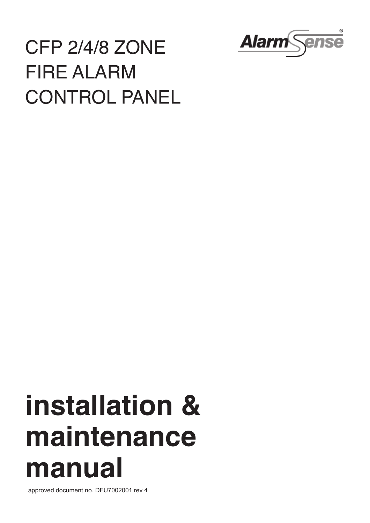

# CFP 2/4/8 ZONE FIRE ALARM CONTROL PANEL

# **installation & maintenance manual**

approved document no. DFU7002001 rev 4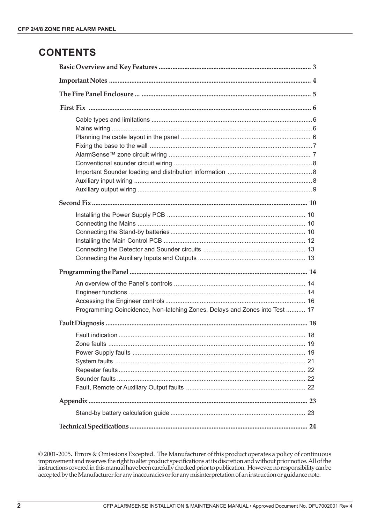## **CONTENTS**

| Programming Coincidence, Non-latching Zones, Delays and Zones into Test  17 |  |  |
|-----------------------------------------------------------------------------|--|--|
|                                                                             |  |  |
|                                                                             |  |  |
|                                                                             |  |  |
|                                                                             |  |  |
|                                                                             |  |  |
|                                                                             |  |  |
|                                                                             |  |  |
|                                                                             |  |  |
|                                                                             |  |  |
|                                                                             |  |  |
|                                                                             |  |  |

© 2001-2005. Errors & Omissions Excepted. The Manufacturer of this product operates a policy of continuous improvement and reserves the right to alter product specifications at its discretion and without prior notice. All of the instructions covered in this manual have been carefully checked prior to publication. However, no responsibility can be accepted by the Manufacturer for any inaccuracies or for any misinterpretation of an instruction or guidance note.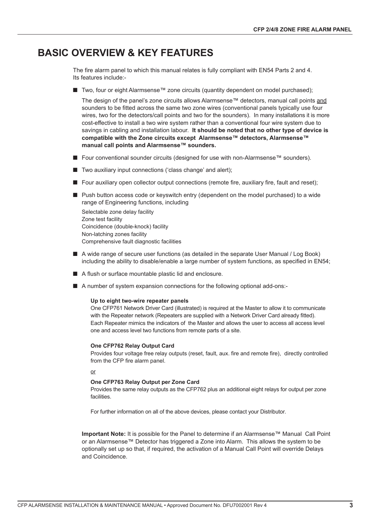## **BASIC OVERVIEW & KEY FEATURES**

The fire alarm panel to which this manual relates is fully compliant with EN54 Parts 2 and 4. Its features include:-

■ Two, four or eight Alarmsense™ zone circuits (quantity dependent on model purchased);

The design of the panel's zone circuits allows Alarmsense™ detectors, manual call points and sounders to be fitted across the same two zone wires (conventional panels typically use four wires, two for the detectors/call points and two for the sounders). In many installations it is more cost-effective to install a two wire system rather than a conventional four wire system due to savings in cabling and installation labour. **It should be noted that no other type of device is compatible with the Zone circuits except Alarmsense™ detectors, Alarmsense™ manual call points and Alarmsense™ sounders.**

- **■** Four conventional sounder circuits (designed for use with non-Alarmsense™ sounders).
- Two auxiliary input connections ('class change' and alert);
- $\blacksquare$  Four auxiliary open collector output connections (remote fire, auxiliary fire, fault and reset);
- Push button access code or keyswitch entry (dependent on the model purchased) to a wide range of Engineering functions, including

Selectable zone delay facility Zone test facility Coincidence (double-knock) facility Non-latching zones facility Comprehensive fault diagnostic facilities

- ! A wide range of secure user functions (as detailed in the separate User Manual / Log Book) including the ability to disable/enable a large number of system functions, as specified in EN54;
- A flush or surface mountable plastic lid and enclosure.
- A number of system expansion connections for the following optional add-ons:-

#### **Up to eight two-wire repeater panels**

One CFP761 Network Driver Card (illustrated) is required at the Master to allow it to communicate with the Repeater network (Repeaters are supplied with a Network Driver Card already fitted). Each Repeater mimics the indicators of the Master and allows the user to access all access level one and access level two functions from remote parts of a site.

#### **One CFP762 Relay Output Card**

Provides four voltage free relay outputs (reset, fault, aux. fire and remote fire), directly controlled from the CFP fire alarm panel.

or

#### **One CFP763 Relay Output per Zone Card**

Provides the same relay outputs as the CFP762 plus an additional eight relays for output per zone facilities.

For further information on all of the above devices, please contact your Distributor.

**Important Note:** It is possible for the Panel to determine if an Alarmsense™ Manual Call Point or an Alarmsense™ Detector has triggered a Zone into Alarm. This allows the system to be optionally set up so that, if required, the activation of a Manual Call Point will override Delays and Coincidence.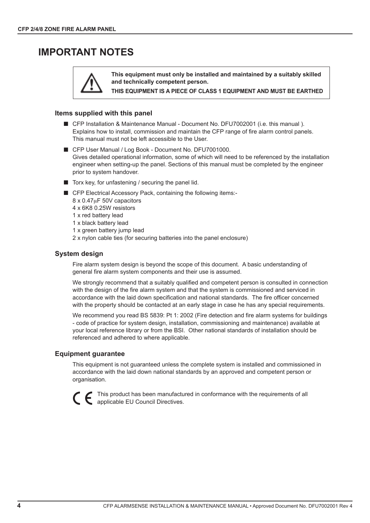## **IMPORTANT NOTES**



**This equipment must only be installed and maintained by a suitably skilled and technically competent person.**

**THIS EQUIPMENT IS A PIECE OF CLASS 1 EQUIPMENT AND MUST BE EARTHED**

#### **Items supplied with this panel**

- CFP Installation & Maintenance Manual Document No. DFU7002001 (i.e. this manual). Explains how to install, commission and maintain the CFP range of fire alarm control panels. This manual must not be left accessible to the User.
- CFP User Manual / Log Book Document No. DFU7001000. Gives detailed operational information, some of which will need to be referenced by the installation engineer when setting-up the panel. Sections of this manual must be completed by the engineer prior to system handover.
- $\blacksquare$  Torx key, for unfastening / securing the panel lid.
- CFP Electrical Accessory Pack, containing the following items:-
	- 8 x 0.47µF 50V capacitors
	- 4 x 6K8 0.25W resistors
	- 1 x red battery lead
	- 1 x black battery lead
	- 1 x green battery jump lead
	- 2 x nylon cable ties (for securing batteries into the panel enclosure)

#### **System design**

Fire alarm system design is beyond the scope of this document. A basic understanding of general fire alarm system components and their use is assumed.

We strongly recommend that a suitably qualified and competent person is consulted in connection with the design of the fire alarm system and that the system is commissioned and serviced in accordance with the laid down specification and national standards. The fire officer concerned with the property should be contacted at an early stage in case he has any special requirements.

We recommend you read BS 5839: Pt 1: 2002 (Fire detection and fire alarm systems for buildings - code of practice for system design, installation, commissioning and maintenance) available at your local reference library or from the BSI. Other national standards of installation should be referenced and adhered to where applicable.

#### **Equipment guarantee**

This equipment is not guaranteed unless the complete system is installed and commissioned in accordance with the laid down national standards by an approved and competent person or organisation.



This product has been manufactured in conformance with the requirements of all applicable EU Council Directives.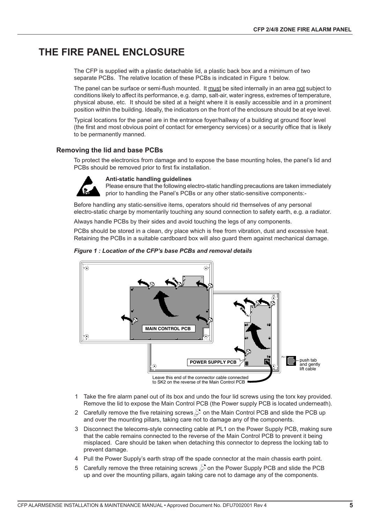## **THE FIRE PANEL ENCLOSURE**

The CFP is supplied with a plastic detachable lid, a plastic back box and a minimum of two separate PCBs. The relative location of these PCBs is indicated in Figure 1 below.

The panel can be surface or semi-flush mounted. It must be sited internally in an area not subject to conditions likely to affect its performance, e.g. damp, salt-air, water ingress, extremes of temperature, physical abuse, etc. It should be sited at a height where it is easily accessible and in a prominent position within the building. Ideally, the indicators on the front of the enclosure should be at eye level.

Typical locations for the panel are in the entrance foyer/hallway of a building at ground floor level (the first and most obvious point of contact for emergency services) or a security office that is likely to be permanently manned.

#### **Removing the lid and base PCBs**

To protect the electronics from damage and to expose the base mounting holes, the panel's lid and PCBs should be removed prior to first fix installation.



#### **Anti-static handling guidelines**

Please ensure that the following electro-static handling precautions are taken immediately prior to handling the Panel's PCBs or any other static-sensitive components:-

Before handling any static-sensitive items, operators should rid themselves of any personal electro-static charge by momentarily touching any sound connection to safety earth, e.g. a radiator.

Always handle PCBs by their sides and avoid touching the legs of any components.

PCBs should be stored in a clean, dry place which is free from vibration, dust and excessive heat. Retaining the PCBs in a suitable cardboard box will also guard them against mechanical damage.



#### *Figure 1 : Location of the CFP's base PCBs and removal details*

1 Take the fire alarm panel out of its box and undo the four lid screws using the torx key provided. Remove the lid to expose the Main Control PCB (the Power supply PCB is located underneath).

- 2 Carefully remove the five retaining screws  $\circled{S}$  on the Main Control PCB and slide the PCB up and over the mounting pillars, taking care not to damage any of the components.
- 3 Disconnect the telecoms-style connecting cable at PL1 on the Power Supply PCB, making sure that the cable remains connected to the reverse of the Main Control PCB to prevent it being misplaced. Care should be taken when detaching this connector to depress the locking tab to prevent damage.
- 4 Pull the Power Supply's earth strap off the spade connector at the main chassis earth point.
- 5 Carefully remove the three retaining screws  $\circled{S}$  on the Power Supply PCB and slide the PCB up and over the mounting pillars, again taking care not to damage any of the components.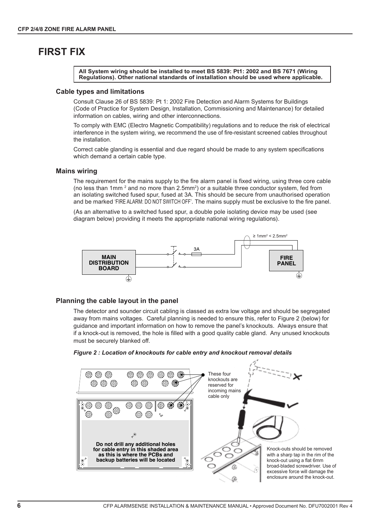## **FIRST FIX**

**All System wiring should be installed to meet BS 5839: Pt1: 2002 and BS 7671 (Wiring Regulations). Other national standards of installation should be used where applicable.**

#### **Cable types and limitations**

Consult Clause 26 of BS 5839: Pt 1: 2002 Fire Detection and Alarm Systems for Buildings (Code of Practice for System Design, Installation, Commissioning and Maintenance) for detailed information on cables, wiring and other interconnections.

To comply with EMC (Electro Magnetic Compatibility) regulations and to reduce the risk of electrical interference in the system wiring, we recommend the use of fire-resistant screened cables throughout the installation.

Correct cable glanding is essential and due regard should be made to any system specifications which demand a certain cable type.

#### **Mains wiring**

The requirement for the mains supply to the fire alarm panel is fixed wiring, using three core cable (no less than 1mm  $^2$  and no more than 2.5mm $^2$ ) or a suitable three conductor system, fed from an isolating switched fused spur, fused at 3A. This should be secure from unauthorised operation and be marked 'FIRE ALARM: DO NOT SWITCH OFF'. The mains supply must be exclusive to the fire panel.

(As an alternative to a switched fused spur, a double pole isolating device may be used (see diagram below) providing it meets the appropriate national wiring regulations).



#### **Planning the cable layout in the panel**

The detector and sounder circuit cabling is classed as extra low voltage and should be segregated away from mains voltages. Careful planning is needed to ensure this, refer to Figure 2 (below) for guidance and important information on how to remove the panel's knockouts. Always ensure that if a knock-out is removed, the hole is filled with a good quality cable gland. Any unused knockouts must be securely blanked off.



#### *Figure 2 : Location of knockouts for cable entry and knockout removal details*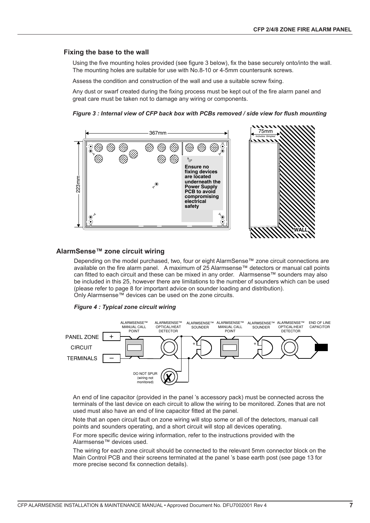#### **Fixing the base to the wall**

Using the five mounting holes provided (see figure 3 below), fix the base securely onto/into the wall. The mounting holes are suitable for use with No.8-10 or 4-5mm countersunk screws.

Assess the condition and construction of the wall and use a suitable screw fixing.

Any dust or swarf created during the fixing process must be kept out of the fire alarm panel and great care must be taken not to damage any wiring or components.





#### **AlarmSense™ zone circuit wiring**

Depending on the model purchased, two, four or eight AlarmSense™ zone circuit connections are available on the fire alarm panel. A maximum of 25 Alarmsense™ detectors or manual call points can fitted to each circuit and these can be mixed in any order. Alarmsense™ sounders may also be included in this 25, however there are limitations to the number of sounders which can be used (please refer to page 8 for important advice on sounder loading and distribution). Only Alarmsense™ devices can be used on the zone circuits.





An end of line capacitor (provided in the panel 's accessory pack) must be connected across the terminals of the last device on each circuit to allow the wiring to be monitored. Zones that are not used must also have an end of line capacitor fitted at the panel.

Note that an open circuit fault on zone wiring will stop some or all of the detectors, manual call points and sounders operating, and a short circuit will stop all devices operating.

For more specific device wiring information, refer to the instructions provided with the Alarmsense™ devices used.

The wiring for each zone circuit should be connected to the relevant 5mm connector block on the Main Control PCB and their screens terminated at the panel 's base earth post (see page 13 for more precise second fix connection details).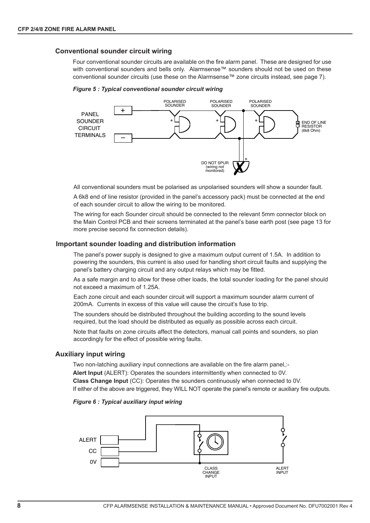#### **Conventional sounder circuit wiring**

Four conventional sounder circuits are available on the fire alarm panel. These are designed for use with conventional sounders and bells only. Alarmsense™ sounders should not be used on these conventional sounder circuits (use these on the Alarmsense™ zone circuits instead, see page 7).





All conventional sounders must be polarised as unpolarised sounders will show a sounder fault.

A 6k8 end of line resistor (provided in the panel's accessory pack) must be connected at the end of each sounder circuit to allow the wiring to be monitored.

The wiring for each Sounder circuit should be connected to the relevant 5mm connector block on the Main Control PCB and their screens terminated at the panel's base earth post (see page 13 for more precise second fix connection details).

#### **Important sounder loading and distribution information**

The panel's power supply is designed to give a maximum output current of 1.5A. In addition to powering the sounders, this current is also used for handling short circuit faults and supplying the panel's battery charging circuit and any output relays which may be fitted.

As a safe margin and to allow for these other loads, the total sounder loading for the panel should not exceed a maximum of 1.25A.

Each zone circuit and each sounder circuit will support a maximum sounder alarm current of 200mA. Currents in excess of this value will cause the circuit's fuse to trip.

The sounders should be distributed throughout the building according to the sound levels required, but the load should be distributed as equally as possible across each circuit.

Note that faults on zone circuits affect the detectors, manual call points and sounders, so plan accordingly for the effect of possible wiring faults.

#### **Auxiliary input wiring**

Two non-latching auxiliary input connections are available on the fire alarm panel,:- **Alert Input** (ALERT): Operates the sounders intermittently when connected to 0V. **Class Change Input** (CC): Operates the sounders continuously when connected to 0V. If either of the above are triggered, they WILL NOT operate the panel's remote or auxiliary fire outputs.

#### *Figure 6 : Typical auxiliary input wiring*

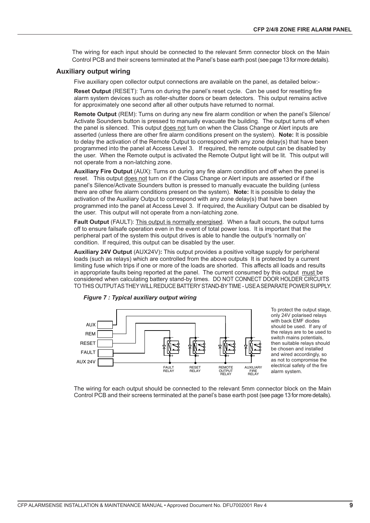The wiring for each input should be connected to the relevant 5mm connector block on the Main Control PCB and their screens terminated at the Panel's base earth post (see page 13 for more details).

#### **Auxiliary output wiring**

Five auxiliary open collector output connections are available on the panel, as detailed below:-

**Reset Output** (RESET): Turns on during the panel's reset cycle. Can be used for resetting fire alarm system devices such as roller-shutter doors or beam detectors. This output remains active for approximately one second after all other outputs have returned to normal.

**Remote Output** (REM): Turns on during any new fire alarm condition or when the panel's Silence/ Activate Sounders button is pressed to manually evacuate the building. The output turns off when the panel is silenced. This output does not turn on when the Class Change or Alert inputs are asserted (unless there are other fire alarm conditions present on the system). **Note:** It is possible to delay the activation of the Remote Output to correspond with any zone delay(s) that have been programmed into the panel at Access Level 3. If required, the remote output can be disabled by the user. When the Remote output is activated the Remote Output light will be lit. This output will not operate from a non-latching zone.

**Auxiliary Fire Output** (AUX): Turns on during any fire alarm condition and off when the panel is reset. This output does not turn on if the Class Change or Alert inputs are asserted or if the panel's Silence/Activate Sounders button is pressed to manually evacuate the building (unless there are other fire alarm conditions present on the system). **Note:** It is possible to delay the activation of the Auxiliary Output to correspond with any zone delay(s) that have been programmed into the panel at Access Level 3. If required, the Auxiliary Output can be disabled by the user. This output will not operate from a non-latching zone.

**Fault Output** (FAULT): This output is normally energised. When a fault occurs, the output turns off to ensure failsafe operation even in the event of total power loss. It is important that the peripheral part of the system this output drives is able to handle the output's 'normally on' condition. If required, this output can be disabled by the user.

**Auxiliary 24V Output** (AUX24V)**:** This output provides a positive voltage supply for peripheral loads (such as relays) which are controlled from the above outputs It is protected by a current limiting fuse which trips if one or more of the loads are shorted. This affects all loads and results in appropriate faults being reported at the panel. The current consumed by this output must be considered when calculating battery stand-by times. DO NOT CONNECT DOOR HOLDER CIRCUITS TOTHIS OUTPUTASTHEY WILLREDUCE BATTERYSTAND-BYTIME - USEASEPARATE POWER SUPPLY.



To protect the output stage, only 24V polarised relays with back EMF diodes should be used. If any of the relays are to be used to switch mains potentials, then suitable relays should be chosen and installed and wired accordingly, so as not to compromise the electrical safety of the fire alarm system.

The wiring for each output should be connected to the relevant 5mm connector block on the Main Control PCB and their screens terminated at the panel's base earth post (see page 13 for more details).



*Figure 7 : Typical auxiliary output wiring*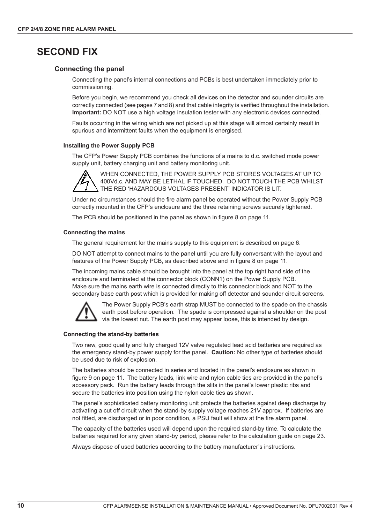## **SECOND FIX**

#### **Connecting the panel**

Connecting the panel's internal connections and PCBs is best undertaken immediately prior to commissioning.

Before you begin, we recommend you check all devices on the detector and sounder circuits are correctly connected (see pages 7 and 8) and that cable integrity is verified throughout the installation. **Important:** DO NOT use a high voltage insulation tester with any electronic devices connected.

Faults occurring in the wiring which are not picked up at this stage will almost certainly result in spurious and intermittent faults when the equipment is energised.

#### **Installing the Power Supply PCB**

The CFP's Power Supply PCB combines the functions of a mains to d.c. switched mode power supply unit, battery charging unit and battery monitoring unit.



WHEN CONNECTED, THE POWER SUPPLY PCB STORES VOLTAGES AT UP TO 400Vd.c. AND MAY BE LETHAL IF TOUCHED. DO NOT TOUCH THE PCB WHILST THE RED 'HAZARDOUS VOLTAGES PRESENT' INDICATOR IS LIT.

Under no circumstances should the fire alarm panel be operated without the Power Supply PCB correctly mounted in the CFP's enclosure and the three retaining screws securely tightened.

The PCB should be positioned in the panel as shown in figure 8 on page 11.

#### **Connecting the mains**

The general requirement for the mains supply to this equipment is described on page 6.

DO NOT attempt to connect mains to the panel until you are fully conversant with the layout and features of the Power Supply PCB, as described above and in figure 8 on page 11.

The incoming mains cable should be brought into the panel at the top right hand side of the enclosure and terminated at the connector block (CONN1) on the Power Supply PCB. Make sure the mains earth wire is connected directly to this connector block and NOT to the secondary base earth post which is provided for making off detector and sounder circuit screens.



The Power Supply PCB's earth strap MUST be connected to the spade on the chassis earth post before operation. The spade is compressed against a shoulder on the post via the lowest nut. The earth post may appear loose, this is intended by design.

#### **Connecting the stand-by batteries**

Two new, good quality and fully charged 12V valve regulated lead acid batteries are required as the emergency stand-by power supply for the panel. **Caution:** No other type of batteries should be used due to risk of explosion.

The batteries should be connected in series and located in the panel's enclosure as shown in figure 9 on page 11. The battery leads, link wire and nylon cable ties are provided in the panel's accessory pack. Run the battery leads through the slits in the panel's lower plastic ribs and secure the batteries into position using the nylon cable ties as shown.

The panel's sophisticated battery monitoring unit protects the batteries against deep discharge by activating a cut off circuit when the stand-by supply voltage reaches 21V approx. If batteries are not fitted, are discharged or in poor condition, a PSU fault will show at the fire alarm panel.

The capacity of the batteries used will depend upon the required stand-by time. To calculate the batteries required for any given stand-by period, please refer to the calculation guide on page 23.

Always dispose of used batteries according to the battery manufacturer's instructions.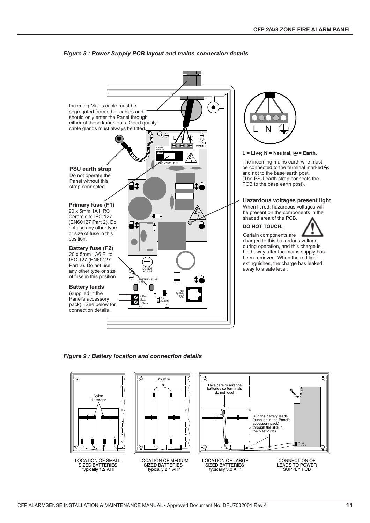

#### *Figure 8 : Power Supply PCB layout and mains connection details*

*Figure 9 : Battery location and connection details*

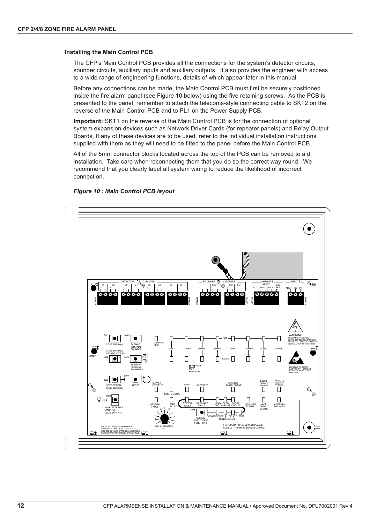#### **Installing the Main Control PCB**

The CFP's Main Control PCB provides all the connections for the system's detector circuits, sounder circuits, auxiliary inputs and auxiliary outputs. It also provides the engineer with access to a wide range of engineering functions, details of which appear later in this manual.

Before any connections can be made, the Main Control PCB must first be securely positioned inside the fire alarm panel (see Figure 10 below) using the five retaining screws. As the PCB is presented to the panel, remember to attach the telecoms-style connecting cable to SKT2 on the reverse of the Main Control PCB and to PL1 on the Power Supply PCB.

**Important:** SKT1 on the reverse of the Main Control PCB is for the connection of optional system expansion devices such as Network Driver Cards (for repeater panels) and Relay Output Boards. If any of these devices are to be used, refer to the individual installation instructions supplied with them as they will need to be fitted to the panel before the Main Control PCB.

All of the 5mm connector blocks located across the top of the PCB can be removed to aid installation. Take care when reconnecting them that you do so the correct way round. We recommend that you clearly label all system wiring to reduce the likelihood of incorrect connection.

#### *Figure 10 : Main Control PCB layout*

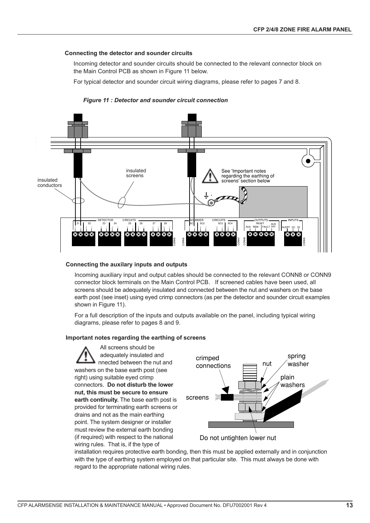#### **Connecting the detector and sounder circuits**

Incoming detector and sounder circuits should be connected to the relevant connector block on the Main Control PCB as shown in Figure 11 below.

For typical detector and sounder circuit wiring diagrams, please refer to pages 7 and 8.

#### *Figure 11 : Detector and sounder circuit connection*



#### **Connecting the auxilary inputs and outputs**

Incoming auxiliary input and output cables should be connected to the relevant CONN8 or CONN9 connector block terminals on the Main Control PCB. If screened cables have been used, all screens should be adequately insulated and connected between the nut and washers on the base earth post (see inset) using eyed crimp connectors (as per the detector and sounder circuit examples shown in Figure 11).

For a full description of the inputs and outputs available on the panel, including typical wiring diagrams, please refer to pages 8 and 9.

#### **Important notes regarding the earthing of screens**

All screens should be adequately insulated and nnected between the nut and washers on the base earth post (see right) using suitable eyed crimp connectors. **Do not disturb the lower nut, this must be secure to ensure earth continuity.** The base earth post is provided for terminating earth screens or drains and not as the main earthing point. The system designer or installer must review the external earth bonding (if required) with respect to the national wiring rules. That is, if the type of



installation requires protective earth bonding, then this must be applied externally and in conjunction with the type of earthing system employed on that particular site. This must always be done with regard to the appropriate national wiring rules.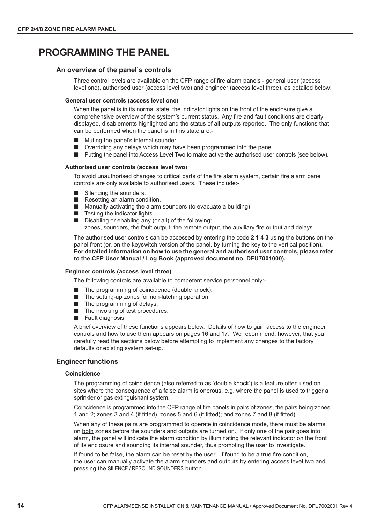## **PROGRAMMING THE PANEL**

#### **An overview of the panel's controls**

Three control levels are available on the CFP range of fire alarm panels - general user (access level one), authorised user (access level two) and engineer (access level three), as detailed below:

#### **General user controls (access level one)**

When the panel is in its normal state, the indicator lights on the front of the enclosure give a comprehensive overview of the system's current status. Any fire and fault conditions are clearly displayed, disablements highlighted and the status of all outputs reported. The only functions that can be performed when the panel is in this state are:-

- **I.** Muting the panel's internal sounder.
- **E** Overriding any delays which may have been programmed into the panel.
- **If** Putting the panel into Access Level Two to make active the authorised user controls (see below).

#### **Authorised user controls (access level two)**

To avoid unauthorised changes to critical parts of the fire alarm system, certain fire alarm panel controls are only available to authorised users. These include:-

- Silencing the sounders.
- Resetting an alarm condition.
- $\blacksquare$  Manually activating the alarm sounders (to evacuate a building)
- $\blacksquare$  Testing the indicator lights.
- **E** Disabling or enabling any (or all) of the following:

zones, sounders, the fault output, the remote output, the auxiliary fire output and delays.

The authorised user controls can be accessed by entering the code **2 1 4 3** using the buttons on the panel front (or, on the keyswitch version of the panel, by turning the key to the vertical position). **For detailed information on how to use the general and authorised user controls, please refer to the CFP User Manual / Log Book (approved document no. DFU7001000).**

#### **Engineer controls (access level three)**

The following controls are available to competent service personnel only:-

- The programming of coincidence (double knock).
- The setting-up zones for non-latching operation.
- $\blacksquare$  The programming of delays.
- $\blacksquare$  The invoking of test procedures.
- **E** Fault diagnosis.

A brief overview of these functions appears below. Details of how to gain access to the engineer controls and how to use them appears on pages 16 and 17. We recommend, however, that you carefully read the sections below before attempting to implement any changes to the factory defaults or existing system set-up.

#### **Engineer functions**

#### **Coincidence**

The programming of coincidence (also referred to as 'double knock') is a feature often used on sites where the consequence of a false alarm is onerous, e.g. where the panel is used to trigger a sprinkler or gas extinguishant system.

Coincidence is programmed into the CFP range of fire panels in pairs of zones, the pairs being zones 1 and 2; zones 3 and 4 (if fitted), zones 5 and 6 (if fitted); and zones 7 and 8 (if fitted)

When any of these pairs are programmed to operate in coincidence mode, there must be alarms on both zones before the sounders and outputs are turned on. If only one of the pair goes into alarm, the panel will indicate the alarm condition by illuminating the relevant indicator on the front of its enclosure and sounding its internal sounder, thus prompting the user to investigate.

If found to be false, the alarm can be reset by the user. If found to be a true fire condition, the user can manually activate the alarm sounders and outputs by entering access level two and pressing the SILENCE / RESOUND SOUNDERS button.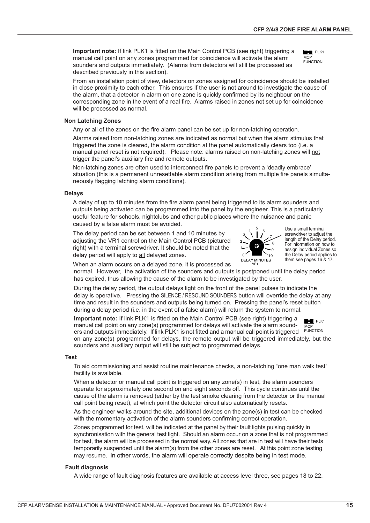**Important note:** If link PLK1 is fitted on the Main Control PCB (see right) triggering a manual call point on any zones programmed for coincidence will activate the alarm sounders and outputs immediately. (Alarms from detectors will still be processed as described previously in this section).



From an installation point of view, detectors on zones assigned for coincidence should be installed in close proximity to each other. This ensures if the user is not around to investigate the cause of the alarm, that a detector in alarm on one zone is quickly confirmed by its neighbour on the corresponding zone in the event of a real fire. Alarms raised in zones not set up for coincidence will be processed as normal.

#### **Non Latching Zones**

Any or all of the zones on the fire alarm panel can be set up for non-latching operation.

Alarms raised from non-latching zones are indicated as normal but when the alarm stimulus that triggered the zone is cleared, the alarm condition at the panel automatically clears too (i.e. a manual panel reset is not required). Please note: alarms raised on non-latching zones will not trigger the panel's auxiliary fire and remote outputs.

Non-latching zones are often used to interconnect fire panels to prevent a 'deadly embrace' situation (this is a permanent unresettable alarm condition arising from multiple fire panels simultaneously flagging latching alarm conditions).

#### **Delays**

A delay of up to 10 minutes from the fire alarm panel being triggered to its alarm sounders and outputs being activated can be programmed into the panel by the engineer. This is a particularly useful feature for schools, nightclubs and other public places where the nuisance and panic caused by a false alarm must be avoided.

The delay period can be set between 1 and 10 minutes by adjusting the VR1 control on the Main Control PCB (pictured right) with a terminal screwdriver. It should be noted that the delay period will apply to all delayed zones.



VR1

Use a small terminal screwdriver to adjust the length of the Delay period. For information on how to assign individual Zones so the Delay period applies to them see pages 16 & 17.

When an alarm occurs on a delayed zone, it is processed as

normal. However, the activation of the sounders and outputs is postponed until the delay period has expired, thus allowing the cause of the alarm to be investigated by the user.

During the delay period, the output delays light on the front of the panel pulses to indicate the delay is operative. Pressing the SILENCE / RESOUND SOUNDERS button will override the delay at any time and result in the sounders and outputs being turned on. Pressing the panel's reset button during a delay period (i.e. in the event of a false alarm) will return the system to normal.

 $PLK1$ FUNCTION **MCP Important note:** If link PLK1 is fitted on the Main Control PCB (see right) triggering a manual call point on any zone(s) programmed for delays will activate the alarm sounders and outputs immediately. If link PLK1 is not fitted and a manual call point is triggered on any zone(s) programmed for delays, the remote output will be triggered immediately, but the sounders and auxiliary output will still be subject to programmed delays.

#### **Test**

To aid commissioning and assist routine maintenance checks, a non-latching "one man walk test" facility is available.

When a detector or manual call point is triggered on any zone(s) in test, the alarm sounders operate for approximately one second on and eight seconds off. This cycle continues until the cause of the alarm is removed (either by the test smoke clearing from the detector or the manual call point being reset), at which point the detector circuit also automatically resets.

As the engineer walks around the site, additional devices on the zone(s) in test can be checked with the momentary activation of the alarm sounders confirming correct operation.

Zones programmed for test, will be indicated at the panel by their fault lights pulsing quickly in synchronisation with the general test light. Should an alarm occur on a zone that is not programmed for test, the alarm will be processed in the normal way. All zones that are in test will have their tests temporarily suspended until the alarm(s) from the other zones are reset. At this point zone testing may resume. In other words, the alarm will operate correctly despite being in test mode.

#### **Fault diagnosis**

A wide range of fault diagnosis features are available at access level three, see pages 18 to 22.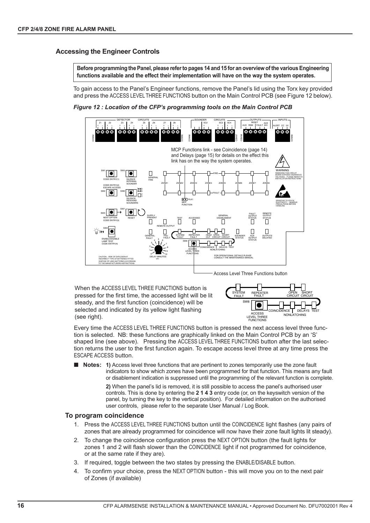#### **Accessing the Engineer Controls**

**Before programming the Panel, please referto pages 14 and 15 for an overview of the various Engineering functions available and the effect their implementation will have on the way the system operates.**

To gain access to the Panel's Engineer functions, remove the Panel's lid using the Torx key provided and press the ACCESS LEVEL THREE FUNCTIONS button on the Main Control PCB (see Figure 12 below).

*Figure 12 : Location of the CFP's programming tools on the Main Control PCB*



Access Level Three Functions button

When the ACCESS LEVEL THREE FUNCTIONS button is pressed for the first time, the accessed light will be lit steady, and the first function (coincidence) will be selected and indicated by its yellow light flashing (see right).



Every time the ACCESS LEVEL THREE FUNCTIONS button is pressed the next access level three function is selected. NB: these functions are graphically linked on the Main Control PCB by an 'S' shaped line (see above). Pressing the ACCESS LEVEL THREE FUNCTIONS button after the last selection returns the user to the first function again. To escape access level three at any time press the ESCAPE ACCESS button.

! **Notes: 1)** Access level three functions that are pertinent to zones temporarily use the zone fault indicators to show which zones have been programmed for that function. This means any fault or disablement indication is suppressed until the programming of the relevant function is complete.

> **2)** When the panel's lid is removed, it is still possible to access the panel's authorised user controls. This is done by entering the **2 1 4 3** entry code (or, on the keyswitch version of the panel, by turning the key to the vertical position). For detailed information on the authorised user controls, please refer to the separate User Manual / Log Book.

#### **To program coincidence**

- 1. Press the ACCESS LEVEL THREE FUNCTIONS button until the COINCIDENCE light flashes (any pairs of zones that are already programmed for coincidence will now have their zone fault lights lit steady).
- 2. To change the coincidence configuration press the NEXT OPTION button (the fault lights for zones 1 and 2 will flash slower than the COINCIDENCE light if not programmed for coincidence, or at the same rate if they are).
- 3. If required, toggle between the two states by pressing the ENABLE/DISABLE button.
- 4. To confirm your choice, press the NEXT OPTION button this will move you on to the next pair of Zones (if available)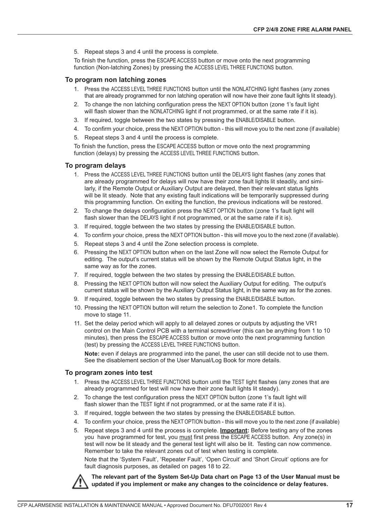5. Repeat steps 3 and 4 until the process is complete.

To finish the function, press the ESCAPE ACCESS button or move onto the next programming function (Non-latching Zones) by pressing the ACCESS LEVEL THREE FUNCTIONS button.

#### **To program non latching zones**

- 1. Press the ACCESS LEVEL THREE FUNCTIONS button until the NONLATCHING light flashes (any zones that are already programmed for non latching operation will now have their zone fault lights lit steady).
- 2. To change the non latching configuration press the NEXT OPTION button (zone 1's fault light will flash slower than the NONLATCHING light if not programmed, or at the same rate if it is).
- 3. If required, toggle between the two states by pressing the ENABLE/DISABLE button.
- 4. To confirm your choice, press the NEXT OPTION button this will move you to the next zone (if available)
- 5. Repeat steps 3 and 4 until the process is complete.

To finish the function, press the ESCAPE ACCESS button or move onto the next programming function (delays) by pressing the ACCESS LEVEL THREE FUNCTIONS button.

#### **To program delays**

- 1. Press the ACCESS LEVEL THREE FUNCTIONS button until the DELAYS light flashes (any zones that are already programmed for delays will now have their zone fault lights lit steadily, and similarly, if the Remote Output or Auxiliary Output are delayed, then their relevant status lights will be lit steady. Note that any existing fault indications will be temporarily suppressed during this programming function. On exiting the function, the previous indications will be restored.
- 2. To change the delays configuration press the NEXT OPTION button (zone 1's fault light will flash slower than the DELAYS light if not programmed, or at the same rate if it is).
- 3. If required, toggle between the two states by pressing the ENABLE/DISABLE button.
- 4. To confirm your choice, press the NEXT OPTION button this will move you to the next zone (if available).
- 5. Repeat steps 3 and 4 until the Zone selection process is complete.
- 6. Pressing the NEXT OPTION button when on the last Zone will now select the Remote Output for editing. The output's current status will be shown by the Remote Output Status light, in the same way as for the zones.
- 7. If required, toggle between the two states by pressing the ENABLE/DISABLE button.
- 8. Pressing the NEXT OPTION button will now select the Auxiliary Output for editing. The output's current status will be shown by the Auxiliary Output Status light, in the same way as for the zones.
- 9. If required, toggle between the two states by pressing the ENABLE/DISABLE button.
- 10. Pressing the NEXT OPTION button will return the selection to Zone1. To complete the function move to stage 11.
- 11. Set the delay period which will apply to all delayed zones or outputs by adjusting the VR1 control on the Main Control PCB with a terminal screwdriver (this can be anything from 1 to 10 minutes), then press the ESCAPE ACCESS button or move onto the next programming function (test) by pressing the ACCESS LEVEL THREE FUNCTIONS button.

**Note:** even if delays are programmed into the panel, the user can still decide not to use them. See the disablement section of the User Manual/Log Book for more details.

#### **To program zones into test**

- 1. Press the ACCESS LEVEL THREE FUNCTIONS button until the TEST light flashes (any zones that are already programmed for test will now have their zone fault lights lit steady).
- 2. To change the test configuration press the NEXT OPTION button (zone 1's fault light will flash slower than the TEST light if not programmed, or at the same rate if it is).
- 3. If required, toggle between the two states by pressing the ENABLE/DISABLE button.
- 4. To confirm your choice, press the NEXT OPTION button this will move you to the next zone (if available)
- 5. Repeat steps 3 and 4 until the process is complete. **Important:** Before testing any of the zones you have programmed for test, you must first press the ESCAPE ACCESS button. Any zone(s) in test will now be lit steady and the general test light will also be lit. Testing can now commence. Remember to take the relevant zones out of test when testing is complete. Note that the 'System Fault', 'Repeater Fault', 'Open Circuit' and 'Short Circuit' options are for

fault diagnosis purposes, as detailed on pages 18 to 22.



**The relevant part of the System Set-Up Data chart on Page 13 of the User Manual must be updated if you implement or make any changes to the coincidence or delay features.**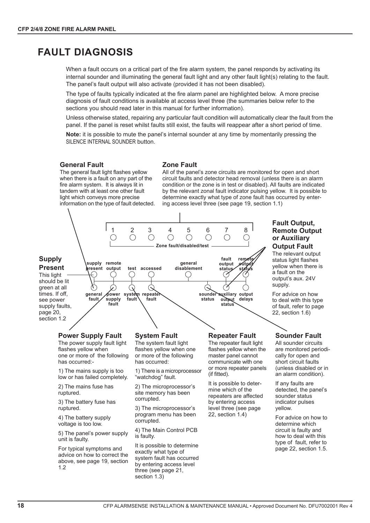## **FAULT DIAGNOSIS**

When a fault occurs on a critical part of the fire alarm system, the panel responds by activating its internal sounder and illuminating the general fault light and any other fault light(s) relating to the fault. The panel's fault output will also activate (provided it has not been disabled).

The type of faults typically indicated at the fire alarm panel are highlighted below. A more precise diagnosis of fault conditions is available at access level three (the summaries below refer to the sections you should read later in this manual for further information).

Unless otherwise stated, repairing any particular fault condition will automatically clear the fault from the panel. If the panel is reset whilst faults still exist, the faults will reappear after a short period of time.

**Note:** it is possible to mute the panel's internal sounder at any time by momentarily pressing the SILENCE INTERNAL SOUNDER button.

#### **General Fault**

The general fault light flashes yellow when there is a fault on any part of the fire alarm system. It is always lit in tandem with at least one other fault light which conveys more precise information on the type of fault detected.

#### **Zone Fault**

All of the panel's zone circuits are monitored for open and short circuit faults and detector head removal (unless there is an alarm condition or the zone is in test or disabled). All faults are indicated by the relevant zonal fault indicator pulsing yellow. It is possible to determine exactly what type of zone fault has occurred by entering access level three (see page 19, section 1.1)

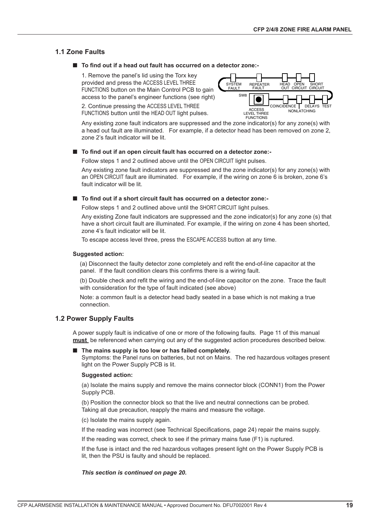#### **1.1 Zone Faults**

#### ■ To find out if a head out fault has occurred on a detector zone:-

1. Remove the panel's lid using the Torx key provided and press the ACCESS LEVEL THREE FUNCTIONS button on the Main Control PCB to gain access to the panel's engineer functions (see right)

2. Continue pressing the ACCESS LEVEL THREE FUNCTIONS button until the HEAD OUT light pulses.



Any existing zone fault indicators are suppressed and the zone indicator(s) for any zone(s) with a head out fault are illuminated. For example, if a detector head has been removed on zone 2, zone 2's fault indicator will be lit.

#### ■ To find out if an open circuit fault has occurred on a detector zone:-

Follow steps 1 and 2 outlined above until the OPEN CIRCUIT light pulses.

Any existing zone fault indicators are suppressed and the zone indicator(s) for any zone(s) with an OPEN CIRCUIT fault are illuminated. For example, if the wiring on zone 6 is broken, zone 6's fault indicator will be lit.

#### ! **To find out if a short circuit fault has occurred on a detector zone:-**

Follow steps 1 and 2 outlined above until the SHORT CIRCUIT light pulses.

Any existing Zone fault indicators are suppressed and the zone indicator(s) for any zone (s) that have a short circuit fault are illuminated. For example, if the wiring on zone 4 has been shorted, zone 4's fault indicator will be lit.

To escape access level three, press the ESCAPE ACCESS button at any time.

#### **Suggested action:**

(a) Disconnect the faulty detector zone completely and refit the end-of-line capacitor at the panel. If the fault condition clears this confirms there is a wiring fault.

(b) Double check and refit the wiring and the end-of-line capacitor on the zone. Trace the fault with consideration for the type of fault indicated (see above)

Note: a common fault is a detector head badly seated in a base which is not making a true connection.

#### **1.2 Power Supply Faults**

A power supply fault is indicative of one or more of the following faults. Page 11 of this manual **must** be referenced when carrying out any of the suggested action procedures described below.

#### ! **The mains supply is too low or has failed completely.**

Symptoms: the Panel runs on batteries, but not on Mains. The red hazardous voltages present light on the Power Supply PCB is lit.

#### **Suggested action:**

(a) Isolate the mains supply and remove the mains connector block (CONN1) from the Power Supply PCB.

(b) Position the connector block so that the live and neutral connections can be probed. Taking all due precaution, reapply the mains and measure the voltage.

(c) Isolate the mains supply again.

If the reading was incorrect (see Technical Specifications, page 24) repair the mains supply.

If the reading was correct, check to see if the primary mains fuse (F1) is ruptured.

If the fuse is intact and the red hazardous voltages present light on the Power Supply PCB is lit, then the PSU is faulty and should be replaced.

*This section is continued on page 20.*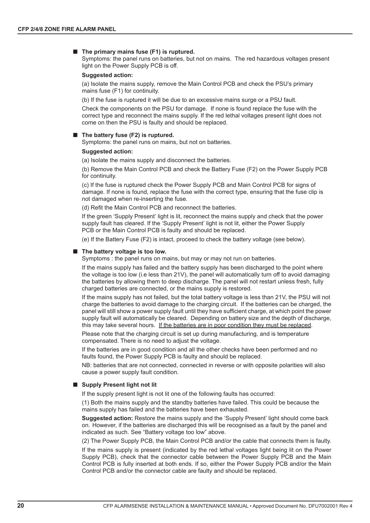#### ■ The primary mains fuse (F1) is ruptured.

Symptoms: the panel runs on batteries, but not on mains. The red hazardous voltages present light on the Power Supply PCB is off.

#### **Suggested action:**

(a) Isolate the mains supply, remove the Main Control PCB and check the PSU's primary mains fuse (F1) for continuity.

(b) If the fuse is ruptured it will be due to an excessive mains surge or a PSU fault.

Check the components on the PSU for damage. If none is found replace the fuse with the correct type and reconnect the mains supply. If the red lethal voltages present light does not come on then the PSU is faulty and should be replaced.

#### ! **The battery fuse (F2) is ruptured.**

Symptoms: the panel runs on mains, but not on batteries.

#### **Suggested action:**

(a) Isolate the mains supply and disconnect the batteries.

(b) Remove the Main Control PCB and check the Battery Fuse (F2) on the Power Supply PCB for continuity.

(c) If the fuse is ruptured check the Power Supply PCB and Main Control PCB for signs of damage. If none is found, replace the fuse with the correct type, ensuring that the fuse clip is not damaged when re-inserting the fuse.

(d) Refit the Main Control PCB and reconnect the batteries.

If the green 'Supply Present' light is lit, reconnect the mains supply and check that the power supply fault has cleared. If the 'Supply Present' light is not lit, either the Power Supply PCB or the Main Control PCB is faulty and should be replaced.

(e) If the Battery Fuse (F2) is intact, proceed to check the battery voltage (see below).

#### ! **The battery voltage is too low.**

Symptoms : the panel runs on mains, but may or may not run on batteries.

If the mains supply has failed and the battery supply has been discharged to the point where the voltage is too low (i.e less than 21V), the panel will automatically turn off to avoid damaging the batteries by allowing them to deep discharge. The panel will not restart unless fresh, fully charged batteries are connected, or the mains supply is restored.

If the mains supply has not failed, but the total battery voltage is less than 21V, the PSU will not charge the batteries to avoid damage to the charging circuit. If the batteries can be charged, the panel will still show a power supply fault until they have sufficient charge, at which point the power supply fault will automatically be cleared. Depending on battery size and the depth of discharge, this may take several hours. If the batteries are in poor condition they must be replaced.

Please note that the charging circuit is set up during manufacturing, and is temperature compensated. There is no need to adjust the voltage.

If the batteries are in good condition and all the other checks have been performed and no faults found, the Power Supply PCB is faulty and should be replaced.

NB: batteries that are not connected, connected in reverse or with opposite polarities will also cause a power supply fault condition.

#### ■ Supply Present light not lit

If the supply present light is not lit one of the following faults has occurred:

(1) Both the mains supply and the standby batteries have failed. This could be because the mains supply has failed and the batteries have been exhausted.

**Suggested action:** Restore the mains supply and the 'Supply Present' light should come back on. However, if the batteries are discharged this will be recognised as a fault by the panel and indicated as such. See "Battery voltage too low" above.

(2) The Power Supply PCB, the Main Control PCB and/or the cable that connects them is faulty.

If the mains supply is present (indicated by the red lethal voltages light being lit on the Power Supply PCB), check that the connector cable between the Power Supply PCB and the Main Control PCB is fully inserted at both ends. If so, either the Power Supply PCB and/or the Main Control PCB and/or the connector cable are faulty and should be replaced.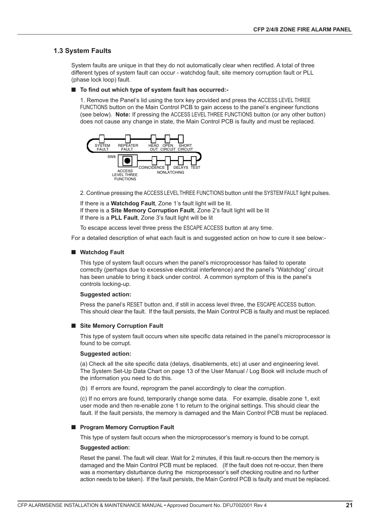#### **1.3 System Faults**

System faults are unique in that they do not automatically clear when rectified. A total of three different types of system fault can occur - watchdog fault, site memory corruption fault or PLL (phase lock loop) fault.

#### ! **To find out which type of system fault has occurred:-**

1. Remove the Panel's lid using the torx key provided and press the ACCESS LEVEL THREE FUNCTIONS button on the Main Control PCB to gain access to the panel's engineer functions (see below). **Note:** If pressing the ACCESS LEVEL THREE FUNCTIONS button (or any other button) does not cause any change in state, the Main Control PCB is faulty and must be replaced.



2. Continue pressing the ACCESS LEVELTHREE FUNCTIONS button until the SYSTEM FAULT light pulses.

If there is a **Watchdog Fault**, Zone 1's fault light will be lit. If there is a **Site Memory Corruption Fault**, Zone 2's fault light will be lit If there is a **PLL Fault**, Zone 3's fault light will be lit

To escape access level three press the ESCAPE ACCESS button at any time.

For a detailed description of what each fault is and suggested action on how to cure it see below:-

#### $\blacksquare$  Watchdog Fault

This type of system fault occurs when the panel's microprocessor has failed to operate correctly (perhaps due to excessive electrical interference) and the panel's "Watchdog" circuit has been unable to bring it back under control. A common symptom of this is the panel's controls locking-up.

#### **Suggested action:**

Press the panel's RESET button and, if still in access level three, the ESCAPE ACCESS button. This should clear the fault. If the fault persists, the Main Control PCB is faulty and must be replaced.

#### ■ Site Memory Corruption Fault

This type of system fault occurs when site specific data retained in the panel's microprocessor is found to be corrupt.

#### **Suggested action:**

(a) Check all the site specific data (delays, disablements, etc) at user and engineering level. The System Set-Up Data Chart on page 13 of the User Manual / Log Book will include much of the information you need to do this.

(b) If errors are found, reprogram the panel accordingly to clear the corruption.

(c) If no errors are found, temporarily change some data. For example, disable zone 1, exit user mode and then re-enable zone 1 to return to the original settings. This should clear the fault. If the fault persists, the memory is damaged and the Main Control PCB must be replaced.

#### ! **Program Memory Corruption Fault**

This type of system fault occurs when the microprocessor's memory is found to be corrupt.

#### **Suggested action:**

Reset the panel. The fault will clear. Wait for 2 minutes, if this fault re-occurs then the memory is damaged and the Main Control PCB must be replaced. (If the fault does not re-occur, then there was a momentary disturbance during the microprocessor's self checking routine and no further action needs to be taken). If the fault persists, the Main Control PCB is faulty and must be replaced.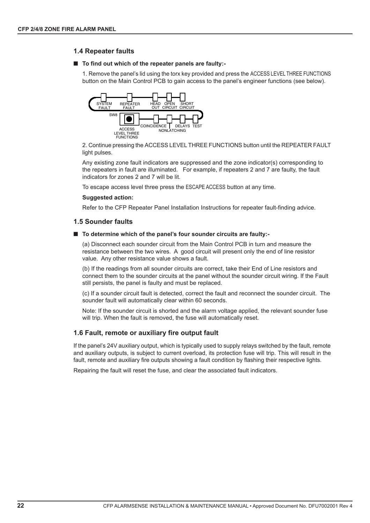#### **1.4 Repeater faults**

#### ! **To find out which of the repeater panels are faulty:-**

1. Remove the panel's lid using the torx key provided and press the ACCESS LEVEL THREE FUNCTIONS button on the Main Control PCB to gain access to the panel's engineer functions (see below).



2. Continue pressing the ACCESS LEVEL THREE FUNCTIONS button until the REPEATER FAULT light pulses.

Any existing zone fault indicators are suppressed and the zone indicator(s) corresponding to the repeaters in fault are illuminated. For example, if repeaters 2 and 7 are faulty, the fault indicators for zones 2 and 7 will be lit.

To escape access level three press the ESCAPE ACCESS button at any time.

#### **Suggested action:**

Refer to the CFP Repeater Panel Installation Instructions for repeater fault-finding advice.

#### **1.5 Sounder faults**

#### ■ To determine which of the panel's four sounder circuits are faulty:-

(a) Disconnect each sounder circuit from the Main Control PCB in turn and measure the resistance between the two wires. A good circuit will present only the end of line resistor value. Any other resistance value shows a fault.

(b) If the readings from all sounder circuits are correct, take their End of Line resistors and connect them to the sounder circuits at the panel without the sounder circuit wiring. If the Fault still persists, the panel is faulty and must be replaced.

(c) If a sounder circuit fault is detected, correct the fault and reconnect the sounder circuit. The sounder fault will automatically clear within 60 seconds.

Note: If the sounder circuit is shorted and the alarm voltage applied, the relevant sounder fuse will trip. When the fault is removed, the fuse will automatically reset.

#### **1.6 Fault, remote or auxiliary fire output fault**

If the panel's 24V auxiliary output, which is typically used to supply relays switched by the fault, remote and auxiliary outputs, is subject to current overload, its protection fuse will trip. This will result in the fault, remote and auxiliary fire outputs showing a fault condition by flashing their respective lights.

Repairing the fault will reset the fuse, and clear the associated fault indicators.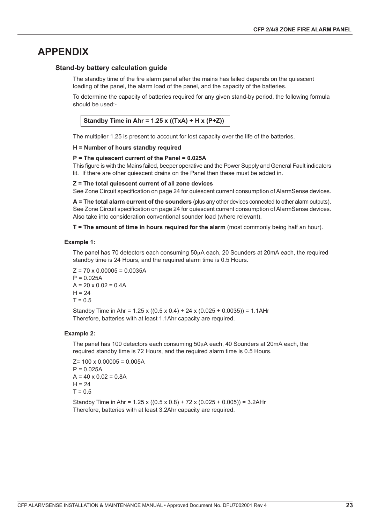## **APPENDIX**

#### **Stand-by battery calculation guide**

The standby time of the fire alarm panel after the mains has failed depends on the quiescent loading of the panel, the alarm load of the panel, and the capacity of the batteries.

To determine the capacity of batteries required for any given stand-by period, the following formula should be used:-

**Standby Time in Ahr = 1.25 x ((TxA) + H x (P+Z))**

The multiplier 1.25 is present to account for lost capacity over the life of the batteries.

#### **H = Number of hours standby required**

#### **P = The quiescent current of the Panel = 0.025A**

This figure is with the Mains failed, beeper operative and the Power Supply and General Fault indicators lit. If there are other quiescent drains on the Panel then these must be added in.

#### **Z = The total quiescent current of all zone devices**

See Zone Circuit specification on page 24 for quiescent current consumption of AlarmSense devices.

**A = The total alarm current of the sounders** (plus any other devices connected to other alarm outputs). See Zone Circuit specification on page 24 for quiescent current consumption of AlarmSense devices. Also take into consideration conventional sounder load (where relevant).

**T = The amount of time in hours required for the alarm** (most commonly being half an hour).

#### **Example 1:**

The panel has 70 detectors each consuming 50µA each, 20 Sounders at 20mA each, the required standby time is 24 Hours, and the required alarm time is 0.5 Hours.

 $Z = 70 \times 0.00005 = 0.0035A$  $P = 0.025A$  $A = 20 \times 0.02 = 0.4A$  $H = 24$  $T = 0.5$ 

Standby Time in Ahr =  $1.25 \times ((0.5 \times 0.4) + 24 \times (0.025 + 0.0035)) = 1.1$ AHr Therefore, batteries with at least 1.1Ahr capacity are required.

#### **Example 2:**

The panel has 100 detectors each consuming 50µA each, 40 Sounders at 20mA each, the required standby time is 72 Hours, and the required alarm time is 0.5 Hours.

 $Z= 100 \times 0.00005 = 0.005A$  $P = 0.025A$  $A = 40 \times 0.02 = 0.8A$  $H = 24$  $T = 0.5$ 

Standby Time in Ahr =  $1.25 \times ((0.5 \times 0.8) + 72 \times (0.025 + 0.005)) = 3.2$ AHr Therefore, batteries with at least 3.2Ahr capacity are required.